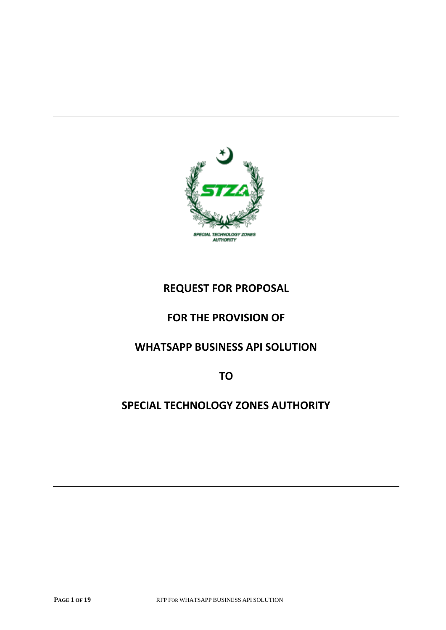

# **REQUEST FOR PROPOSAL**

# **FOR THE PROVISION OF**

# **WHATSAPP BUSINESS API SOLUTION**

**TO**

## **SPECIAL TECHNOLOGY ZONES AUTHORITY**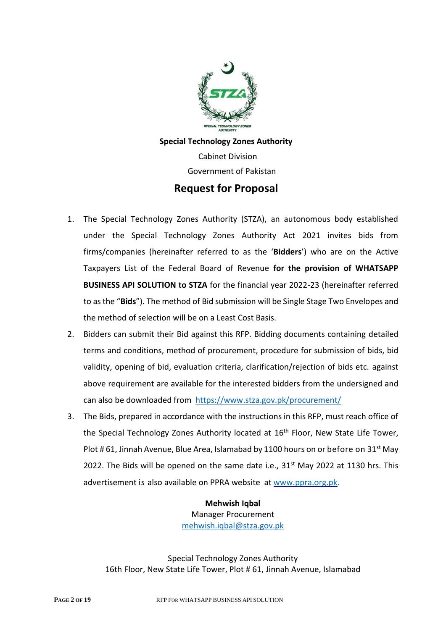

**Special Technology Zones Authority** Cabinet Division Government of Pakistan **Request for Proposal**

- 1. The Special Technology Zones Authority (STZA), an autonomous body established under the Special Technology Zones Authority Act 2021 invites bids from firms/companies (hereinafter referred to as the '**Bidders**') who are on the Active Taxpayers List of the Federal Board of Revenue **for the provision of WHATSAPP BUSINESS API SOLUTION to STZA** for the financial year 2022-23 (hereinafter referred to as the "**Bids**"). The method of Bid submission will be Single Stage Two Envelopes and the method of selection will be on a Least Cost Basis.
- 2. Bidders can submit their Bid against this RFP. Bidding documents containing detailed terms and conditions, method of procurement, procedure for submission of bids, bid validity, opening of bid, evaluation criteria, clarification/rejection of bids etc. against above requirement are available for the interested bidders from the undersigned and can also be downloaded from <https://www.stza.gov.pk/procurement/>
- 3. The Bids, prepared in accordance with the instructions in this RFP, must reach office of the Special Technology Zones Authority located at 16<sup>th</sup> Floor, New State Life Tower, Plot # 61, Jinnah Avenue, Blue Area, Islamabad by 1100 hours on or before on  $31^{st}$  May 2022. The Bids will be opened on the same date i.e.,  $31<sup>st</sup>$  May 2022 at 1130 hrs. This advertisement is also available on PPRA website at [www.ppra.org.pk.](http://www.ppra.org.pk/)

**Mehwish Iqbal** Manager Procurement [mehwish.iqbal@stza.gov.pk](mailto:mehwish.iqbal@stza.gov.pk)

16th Floor, New State Life Tower, Plot # 61, Jinnah Avenue, Islamabad Special Technology Zones Authority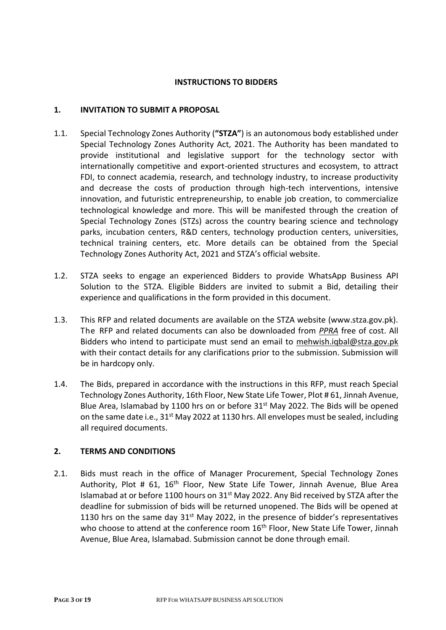#### **INSTRUCTIONS TO BIDDERS**

#### **1. INVITATION TO SUBMIT A PROPOSAL**

- 1.1. Special Technology Zones Authority (**"STZA"**) is an autonomous body established under Special Technology Zones Authority Act, 2021. The Authority has been mandated to provide institutional and legislative support for the technology sector with internationally competitive and export-oriented structures and ecosystem, to attract FDI, to connect academia, research, and technology industry, to increase productivity and decrease the costs of production through high-tech interventions, intensive innovation, and futuristic entrepreneurship, to enable job creation, to commercialize technological knowledge and more. This will be manifested through the creation of Special Technology Zones (STZs) across the country bearing science and technology parks, incubation centers, R&D centers, technology production centers, universities, technical training centers, etc. More details can be obtained from the Special Technology Zones Authority Act, 2021 and STZA's official website.
- 1.2. STZA seeks to engage an experienced Bidders to provide WhatsApp Business API Solution to the STZA. Eligible Bidders are invited to submit a Bid, detailing their experience and qualifications in the form provided in this document.
- 1.3. This RFP and related documents are available on the STZA website (www.stza.gov.pk). The RFP and related documents can also be downloaded from *PPRA* free of cost. All Bidders who intend to participate must send an email to mehwish.iqbal@stza.gov.pk with their contact details for any clarifications prior to the submission. Submission will be in hardcopy only.
- 1.4. The Bids, prepared in accordance with the instructions in this RFP, must reach Special Technology Zones Authority, 16th Floor, New State Life Tower, Plot # 61, Jinnah Avenue, Blue Area, Islamabad by 1100 hrs on or before 31<sup>st</sup> May 2022. The Bids will be opened on the same date i.e.,  $31^{st}$  May 2022 at 1130 hrs. All envelopes must be sealed, including all required documents.

## **2. TERMS AND CONDITIONS**

2.1. Bids must reach in the office of Manager Procurement, Special Technology Zones Authority, Plot # 61, 16<sup>th</sup> Floor, New State Life Tower, Jinnah Avenue, Blue Area Islamabad at or before 1100 hours on  $31<sup>st</sup>$  May 2022. Any Bid received by STZA after the deadline for submission of bids will be returned unopened. The Bids will be opened at 1130 hrs on the same day  $31<sup>st</sup>$  May 2022, in the presence of bidder's representatives who choose to attend at the conference room 16<sup>th</sup> Floor, New State Life Tower, Jinnah Avenue, Blue Area, Islamabad. Submission cannot be done through email.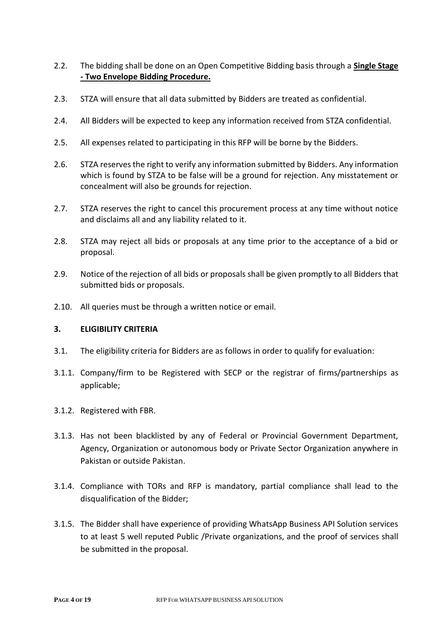- 2.2. The bidding shall be done on an Open Competitive Bidding basis through a **Single Stage - Two Envelope Bidding Procedure.**
- 2.3. STZA will ensure that all data submitted by Bidders are treated as confidential.
- 2.4. All Bidders will be expected to keep any information received from STZA confidential.
- 2.5. All expenses related to participating in this RFP will be borne by the Bidders.
- 2.6. STZA reserves the right to verify any information submitted by Bidders. Any information which is found by STZA to be false will be a ground for rejection. Any misstatement or concealment will also be grounds for rejection.
- 2.7. STZA reserves the right to cancel this procurement process at any time without notice and disclaims all and any liability related to it.
- 2.8. STZA may reject all bids or proposals at any time prior to the acceptance of a bid or proposal.
- 2.9. Notice of the rejection of all bids or proposals shall be given promptly to all Bidders that submitted bids or proposals.
- 2.10. All queries must be through a written notice or email.

#### **3. ELIGIBILITY CRITERIA**

- 3.1. The eligibility criteria for Bidders are as follows in order to qualify for evaluation:
- 3.1.1. Company/firm to be Registered with SECP or the registrar of firms/partnerships as applicable;
- 3.1.2. Registered with FBR.
- 3.1.3. Has not been blacklisted by any of Federal or Provincial Government Department, Agency, Organization or autonomous body or Private Sector Organization anywhere in Pakistan or outside Pakistan.
- 3.1.4. Compliance with TORs and RFP is mandatory, partial compliance shall lead to the disqualification of the Bidder;
- 3.1.5. The Bidder shall have experience of providing WhatsApp Business API Solution services to at least 5 well reputed Public /Private organizations, and the proof of services shall be submitted in the proposal.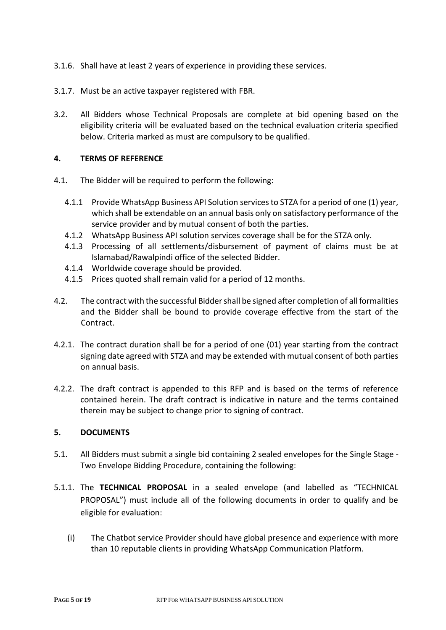- 3.1.6. Shall have at least 2 years of experience in providing these services.
- 3.1.7. Must be an active taxpayer registered with FBR.
- 3.2. All Bidders whose Technical Proposals are complete at bid opening based on the eligibility criteria will be evaluated based on the technical evaluation criteria specified below. Criteria marked as must are compulsory to be qualified.

#### **4. TERMS OF REFERENCE**

- 4.1. The Bidder will be required to perform the following:
	- 4.1.1 Provide WhatsApp Business API Solution services to STZA for a period of one (1) year, which shall be extendable on an annual basis only on satisfactory performance of the service provider and by mutual consent of both the parties.
	- 4.1.2 WhatsApp Business API solution services coverage shall be for the STZA only.
	- 4.1.3 Processing of all settlements/disbursement of payment of claims must be at Islamabad/Rawalpindi office of the selected Bidder.
	- 4.1.4 Worldwide coverage should be provided.
	- 4.1.5 Prices quoted shall remain valid for a period of 12 months.
- 4.2. The contract with the successful Bidder shall be signed after completion of all formalities and the Bidder shall be bound to provide coverage effective from the start of the Contract.
- 4.2.1. The contract duration shall be for a period of one (01) year starting from the contract signing date agreed with STZA and may be extended with mutual consent of both parties on annual basis.
- 4.2.2. The draft contract is appended to this RFP and is based on the terms of reference contained herein. The draft contract is indicative in nature and the terms contained therein may be subject to change prior to signing of contract.

## **5. DOCUMENTS**

- 5.1. All Bidders must submit a single bid containing 2 sealed envelopes for the Single Stage Two Envelope Bidding Procedure, containing the following:
- 5.1.1. The **TECHNICAL PROPOSAL** in a sealed envelope (and labelled as "TECHNICAL PROPOSAL") must include all of the following documents in order to qualify and be eligible for evaluation:
	- (i) The Chatbot service Provider should have global presence and experience with more than 10 reputable clients in providing WhatsApp Communication Platform.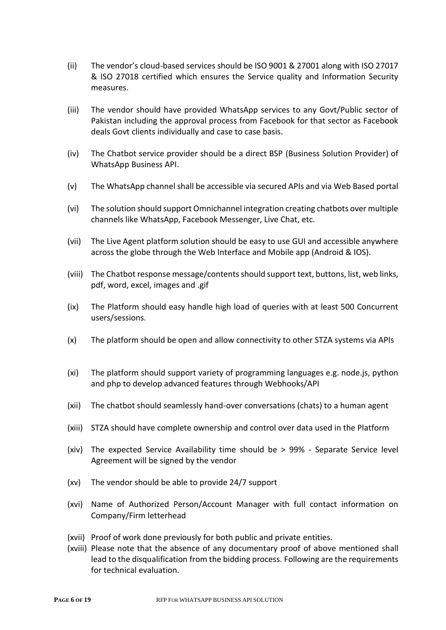- (ii) The vendor's cloud-based services should be ISO 9001 & 27001 along with ISO 27017 & ISO 27018 certified which ensures the Service quality and Information Security measures.
- (iii) The vendor should have provided WhatsApp services to any Govt/Public sector of Pakistan including the approval process from Facebook for that sector as Facebook deals Govt clients individually and case to case basis.
- (iv) The Chatbot service provider should be a direct BSP (Business Solution Provider) of WhatsApp Business API.
- (v) The WhatsApp channel shall be accessible via secured APIs and via Web Based portal
- (vi) The solution should support Omnichannel integration creating chatbots over multiple channels like WhatsApp, Facebook Messenger, Live Chat, etc.
- (vii) The Live Agent platform solution should be easy to use GUI and accessible anywhere across the globe through the Web Interface and Mobile app (Android & IOS).
- (viii) The Chatbot response message/contents should support text, buttons, list, web links, pdf, word, excel, images and .gif
- (ix) The Platform should easy handle high load of queries with at least 500 Concurrent users/sessions.
- (x) The platform should be open and allow connectivity to other STZA systems via APIs
- (xi) The platform should support variety of programming languages e.g. node.js, python and php to develop advanced features through Webhooks/API
- (xii) The chatbot should seamlessly hand-over conversations (chats) to a human agent
- (xiii) STZA should have complete ownership and control over data used in the Platform
- (xiv) The expected Service Availability time should be > 99% Separate Service level Agreement will be signed by the vendor
- (xv) The vendor should be able to provide 24/7 support
- (xvi) Name of Authorized Person/Account Manager with full contact information on Company/Firm letterhead
- (xvii) Proof of work done previously for both public and private entities.
- (xviii) Please note that the absence of any documentary proof of above mentioned shall lead to the disqualification from the bidding process. Following are the requirements for technical evaluation.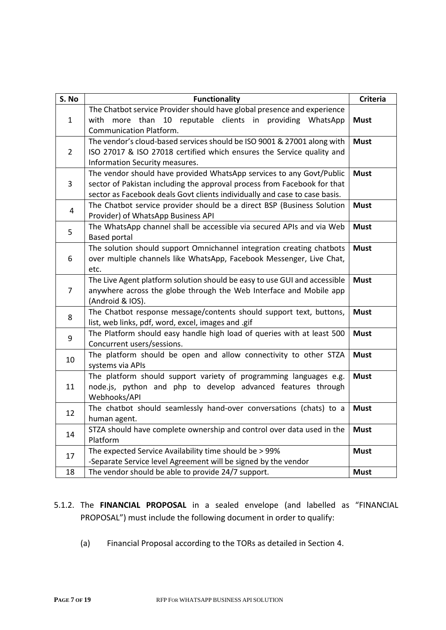| S. No          | <b>Functionality</b>                                                                                                                                                                                                           | <b>Criteria</b> |  |
|----------------|--------------------------------------------------------------------------------------------------------------------------------------------------------------------------------------------------------------------------------|-----------------|--|
| $\mathbf{1}$   | The Chatbot service Provider should have global presence and experience<br>with more than 10 reputable clients in providing WhatsApp<br><b>Communication Platform.</b>                                                         | <b>Must</b>     |  |
| $\overline{2}$ | The vendor's cloud-based services should be ISO 9001 & 27001 along with<br>ISO 27017 & ISO 27018 certified which ensures the Service quality and<br>Information Security measures.                                             | <b>Must</b>     |  |
| 3              | The vendor should have provided WhatsApp services to any Govt/Public<br>sector of Pakistan including the approval process from Facebook for that<br>sector as Facebook deals Govt clients individually and case to case basis. | <b>Must</b>     |  |
| $\overline{4}$ | The Chatbot service provider should be a direct BSP (Business Solution<br><b>Must</b><br>Provider) of WhatsApp Business API                                                                                                    |                 |  |
| 5              | The WhatsApp channel shall be accessible via secured APIs and via Web<br><b>Based portal</b>                                                                                                                                   | <b>Must</b>     |  |
| 6              | The solution should support Omnichannel integration creating chatbots<br>over multiple channels like WhatsApp, Facebook Messenger, Live Chat,<br>etc.                                                                          | <b>Must</b>     |  |
| $\overline{7}$ | The Live Agent platform solution should be easy to use GUI and accessible<br>anywhere across the globe through the Web Interface and Mobile app<br>(Android & IOS).                                                            | <b>Must</b>     |  |
| 8              | The Chatbot response message/contents should support text, buttons,<br>list, web links, pdf, word, excel, images and .gif                                                                                                      | <b>Must</b>     |  |
| 9              | The Platform should easy handle high load of queries with at least 500<br>Concurrent users/sessions.                                                                                                                           | <b>Must</b>     |  |
| 10             | The platform should be open and allow connectivity to other STZA<br>systems via APIs                                                                                                                                           | <b>Must</b>     |  |
| 11             | The platform should support variety of programming languages e.g.<br>node.js, python and php to develop advanced features through<br>Webhooks/API                                                                              | <b>Must</b>     |  |
| 12             | The chatbot should seamlessly hand-over conversations (chats) to a<br>human agent.                                                                                                                                             | <b>Must</b>     |  |
| 14             | STZA should have complete ownership and control over data used in the<br>Platform                                                                                                                                              | <b>Must</b>     |  |
| 17             | The expected Service Availability time should be > 99%<br>-Separate Service level Agreement will be signed by the vendor                                                                                                       | <b>Must</b>     |  |
| 18             | The vendor should be able to provide 24/7 support.                                                                                                                                                                             | <b>Must</b>     |  |

- 5.1.2. The **FINANCIAL PROPOSAL** in a sealed envelope (and labelled as "FINANCIAL PROPOSAL") must include the following document in order to qualify:
	- (a) Financial Proposal according to the TORs as detailed in Section 4.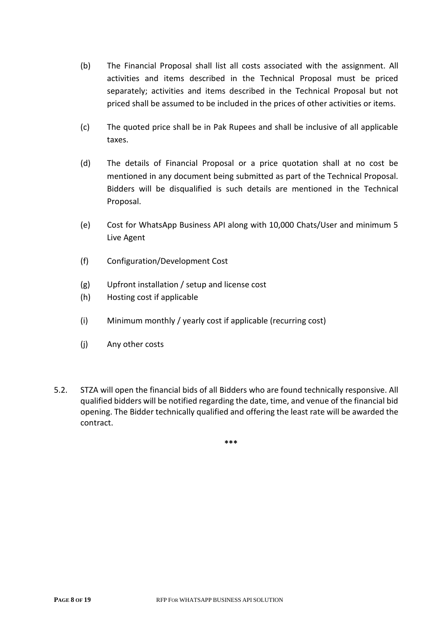- (b) The Financial Proposal shall list all costs associated with the assignment. All activities and items described in the Technical Proposal must be priced separately; activities and items described in the Technical Proposal but not priced shall be assumed to be included in the prices of other activities or items.
- (c) The quoted price shall be in Pak Rupees and shall be inclusive of all applicable taxes.
- (d) The details of Financial Proposal or a price quotation shall at no cost be mentioned in any document being submitted as part of the Technical Proposal. Bidders will be disqualified is such details are mentioned in the Technical Proposal.
- (e) Cost for WhatsApp Business API along with 10,000 Chats/User and minimum 5 Live Agent
- (f) Configuration/Development Cost
- (g) Upfront installation / setup and license cost
- (h) Hosting cost if applicable
- (i) Minimum monthly / yearly cost if applicable (recurring cost)
- (j) Any other costs
- 5.2. STZA will open the financial bids of all Bidders who are found technically responsive. All qualified bidders will be notified regarding the date, time, and venue of the financial bid opening. The Bidder technically qualified and offering the least rate will be awarded the contract.

**\*\*\***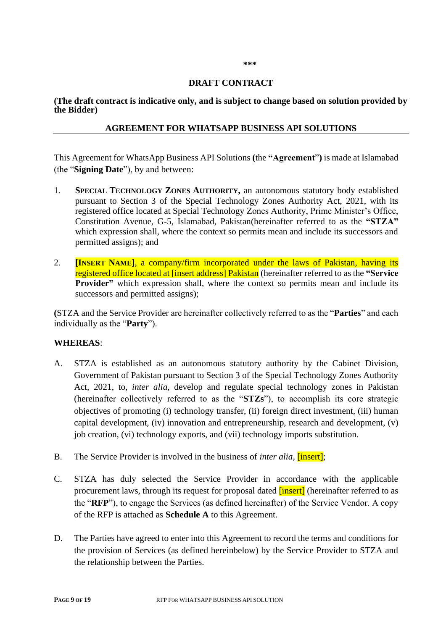## **DRAFT CONTRACT**

**(The draft contract is indicative only, and is subject to change based on solution provided by the Bidder)**

#### **AGREEMENT FOR WHATSAPP BUSINESS API SOLUTIONS**

This Agreement for WhatsApp Business API Solutions **(**the **"Agreement**"**)** is made at Islamabad (the "**Signing Date**"), by and between:

- 1. **SPECIAL TECHNOLOGY ZONES AUTHORITY,** an autonomous statutory body established pursuant to Section 3 of the Special Technology Zones Authority Act, 2021, with its registered office located at Special Technology Zones Authority, Prime Minister's Office, Constitution Avenue, G-5, Islamabad, Pakistan(hereinafter referred to as the **"STZA"** which expression shall, where the context so permits mean and include its successors and permitted assigns); and
- 2. **[INSERT NAME]**, a company/firm incorporated under the laws of Pakistan, having its registered office located at [insert address] Pakistan (hereinafter referred to as the **"Service Provider**" which expression shall, where the context so permits mean and include its successors and permitted assigns);

**(**STZA and the Service Provider are hereinafter collectively referred to as the "**Parties**" and each individually as the "**Party**").

## **WHEREAS**:

- A. STZA is established as an autonomous statutory authority by the Cabinet Division, Government of Pakistan pursuant to Section 3 of the Special Technology Zones Authority Act, 2021, to, *inter alia,* develop and regulate special technology zones in Pakistan (hereinafter collectively referred to as the "**STZs**"), to accomplish its core strategic objectives of promoting (i) technology transfer, (ii) foreign direct investment, (iii) human capital development, (iv) innovation and entrepreneurship, research and development, (v) job creation, (vi) technology exports, and (vii) technology imports substitution.
- B. The Service Provider is involved in the business of *inter alia,* [insert];
- C. STZA has duly selected the Service Provider in accordance with the applicable procurement laws, through its request for proposal dated **[insert]** (hereinafter referred to as the "**RFP**"), to engage the Services (as defined hereinafter) of the Service Vendor. A copy of the RFP is attached as **Schedule A** to this Agreement.
- D. The Parties have agreed to enter into this Agreement to record the terms and conditions for the provision of Services (as defined hereinbelow) by the Service Provider to STZA and the relationship between the Parties.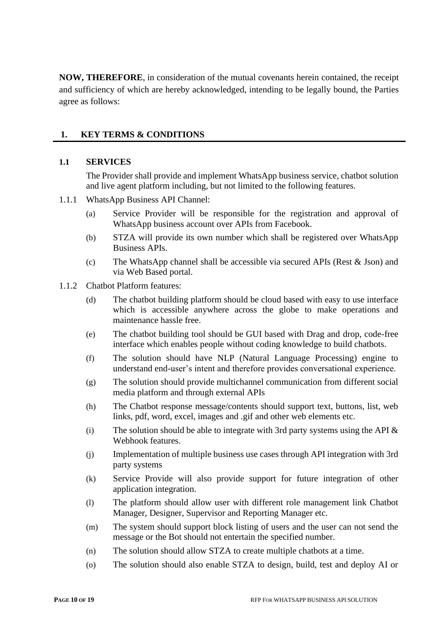**NOW, THEREFORE**, in consideration of the mutual covenants herein contained, the receipt and sufficiency of which are hereby acknowledged, intending to be legally bound, the Parties agree as follows:

## **1. KEY TERMS & CONDITIONS**

#### **1.1 SERVICES**

The Provider shall provide and implement WhatsApp business service, chatbot solution and live agent platform including, but not limited to the following features.

#### 1.1.1 WhatsApp Business API Channel:

- (a) Service Provider will be responsible for the registration and approval of WhatsApp business account over APIs from Facebook.
- (b) STZA will provide its own number which shall be registered over WhatsApp Business APIs.
- (c) The WhatsApp channel shall be accessible via secured APIs (Rest  $&$  Json) and via Web Based portal.
- 1.1.2 Chatbot Platform features:
	- (d) The chatbot building platform should be cloud based with easy to use interface which is accessible anywhere across the globe to make operations and maintenance hassle free.
	- (e) The chatbot building tool should be GUI based with Drag and drop, code-free interface which enables people without coding knowledge to build chatbots.
	- (f) The solution should have NLP (Natural Language Processing) engine to understand end-user's intent and therefore provides conversational experience.
	- (g) The solution should provide multichannel communication from different social media platform and through external APIs
	- (h) The Chatbot response message/contents should support text, buttons, list, web links, pdf, word, excel, images and .gif and other web elements etc.
	- (i) The solution should be able to integrate with 3rd party systems using the API  $\&$ Webhook features.
	- (j) Implementation of multiple business use cases through API integration with 3rd party systems
	- (k) Service Provide will also provide support for future integration of other application integration.
	- (l) The platform should allow user with different role management link Chatbot Manager, Designer, Supervisor and Reporting Manager etc.
	- (m) The system should support block listing of users and the user can not send the message or the Bot should not entertain the specified number.
	- (n) The solution should allow STZA to create multiple chatbots at a time.
	- (o) The solution should also enable STZA to design, build, test and deploy AI or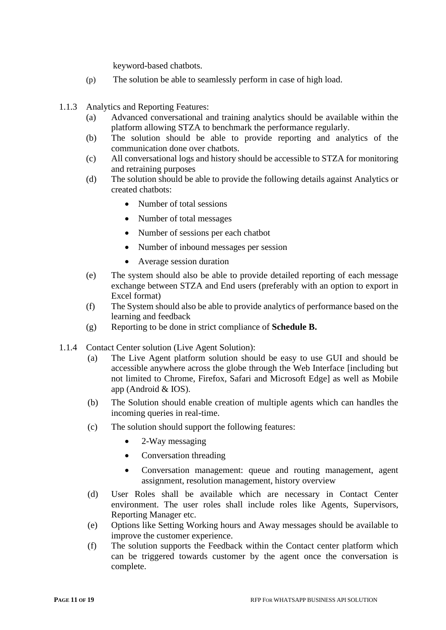keyword-based chatbots.

- (p) The solution be able to seamlessly perform in case of high load.
- 1.1.3 Analytics and Reporting Features:
	- (a) Advanced conversational and training analytics should be available within the platform allowing STZA to benchmark the performance regularly.
	- (b) The solution should be able to provide reporting and analytics of the communication done over chatbots.
	- (c) All conversational logs and history should be accessible to STZA for monitoring and retraining purposes
	- (d) The solution should be able to provide the following details against Analytics or created chatbots:
		- Number of total sessions
		- Number of total messages
		- Number of sessions per each chatbot
		- Number of inbound messages per session
		- Average session duration
	- (e) The system should also be able to provide detailed reporting of each message exchange between STZA and End users (preferably with an option to export in Excel format)
	- (f) The System should also be able to provide analytics of performance based on the learning and feedback
	- (g) Reporting to be done in strict compliance of **Schedule B.**
- 1.1.4 Contact Center solution (Live Agent Solution):
	- (a) The Live Agent platform solution should be easy to use GUI and should be accessible anywhere across the globe through the Web Interface [including but not limited to Chrome, Firefox, Safari and Microsoft Edge] as well as Mobile app (Android & IOS).
	- (b) The Solution should enable creation of multiple agents which can handles the incoming queries in real-time.
	- (c) The solution should support the following features:
		- 2-Way messaging
		- Conversation threading
		- Conversation management: queue and routing management, agent assignment, resolution management, history overview
	- (d) User Roles shall be available which are necessary in Contact Center environment. The user roles shall include roles like Agents, Supervisors, Reporting Manager etc.
	- (e) Options like Setting Working hours and Away messages should be available to improve the customer experience.
	- (f) The solution supports the Feedback within the Contact center platform which can be triggered towards customer by the agent once the conversation is complete.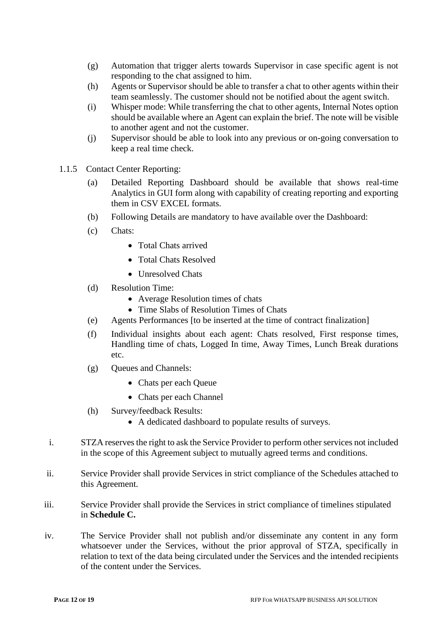- (g) Automation that trigger alerts towards Supervisor in case specific agent is not responding to the chat assigned to him.
- (h) Agents or Supervisor should be able to transfer a chat to other agents within their team seamlessly. The customer should not be notified about the agent switch.
- (i) Whisper mode: While transferring the chat to other agents, Internal Notes option should be available where an Agent can explain the brief. The note will be visible to another agent and not the customer.
- (j) Supervisor should be able to look into any previous or on-going conversation to keep a real time check.
- 1.1.5 Contact Center Reporting:
	- (a) Detailed Reporting Dashboard should be available that shows real-time Analytics in GUI form along with capability of creating reporting and exporting them in CSV EXCEL formats.
	- (b) Following Details are mandatory to have available over the Dashboard:
	- (c) Chats:
		- Total Chats arrived
		- Total Chats Resolved
		- Unresolved Chats
	- (d) Resolution Time:
		- Average Resolution times of chats
		- Time Slabs of Resolution Times of Chats
	- (e) Agents Performances [to be inserted at the time of contract finalization]
	- (f) Individual insights about each agent: Chats resolved, First response times, Handling time of chats, Logged In time, Away Times, Lunch Break durations etc.
	- (g) Queues and Channels:
		- Chats per each Queue
		- Chats per each Channel
	- (h) Survey/feedback Results:
		- A dedicated dashboard to populate results of surveys.
- i. STZA reserves the right to ask the Service Provider to perform other services not included in the scope of this Agreement subject to mutually agreed terms and conditions.
- ii. Service Provider shall provide Services in strict compliance of the Schedules attached to this Agreement.
- iii. Service Provider shall provide the Services in strict compliance of timelines stipulated in **Schedule C.**
- iv. The Service Provider shall not publish and/or disseminate any content in any form whatsoever under the Services, without the prior approval of STZA, specifically in relation to text of the data being circulated under the Services and the intended recipients of the content under the Services.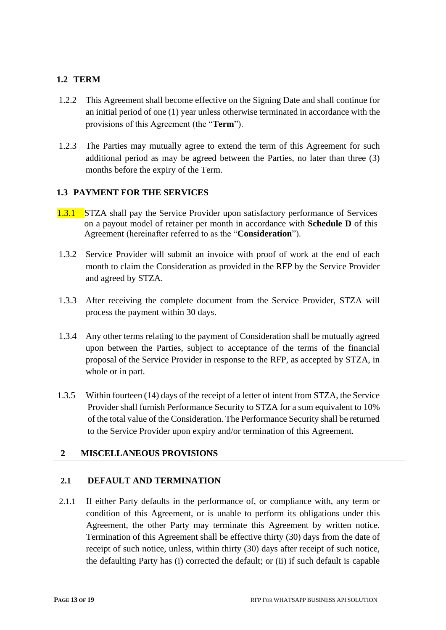## **1.2 TERM**

- 1.2.2 This Agreement shall become effective on the Signing Date and shall continue for an initial period of one (1) year unless otherwise terminated in accordance with the provisions of this Agreement (the "**Term**").
- 1.2.3 The Parties may mutually agree to extend the term of this Agreement for such additional period as may be agreed between the Parties, no later than three (3) months before the expiry of the Term.

## **1.3 PAYMENT FOR THE SERVICES**

- 1.3.1 STZA shall pay the Service Provider upon satisfactory performance of Services on a payout model of retainer per month in accordance with **Schedule D** of this Agreement (hereinafter referred to as the "**Consideration**").
- 1.3.2 Service Provider will submit an invoice with proof of work at the end of each month to claim the Consideration as provided in the RFP by the Service Provider and agreed by STZA.
- 1.3.3 After receiving the complete document from the Service Provider, STZA will process the payment within 30 days.
- 1.3.4 Any other terms relating to the payment of Consideration shall be mutually agreed upon between the Parties, subject to acceptance of the terms of the financial proposal of the Service Provider in response to the RFP, as accepted by STZA, in whole or in part.
- 1.3.5 Within fourteen (14) days of the receipt of a letter of intent from STZA, the Service Provider shall furnish Performance Security to STZA for a sum equivalent to 10% of the total value of the Consideration. The Performance Security shall be returned to the Service Provider upon expiry and/or termination of this Agreement.

## **2 MISCELLANEOUS PROVISIONS**

#### **2.1 DEFAULT AND TERMINATION**

2.1.1 If either Party defaults in the performance of, or compliance with, any term or condition of this Agreement, or is unable to perform its obligations under this Agreement, the other Party may terminate this Agreement by written notice. Termination of this Agreement shall be effective thirty (30) days from the date of receipt of such notice, unless, within thirty (30) days after receipt of such notice, the defaulting Party has (i) corrected the default; or (ii) if such default is capable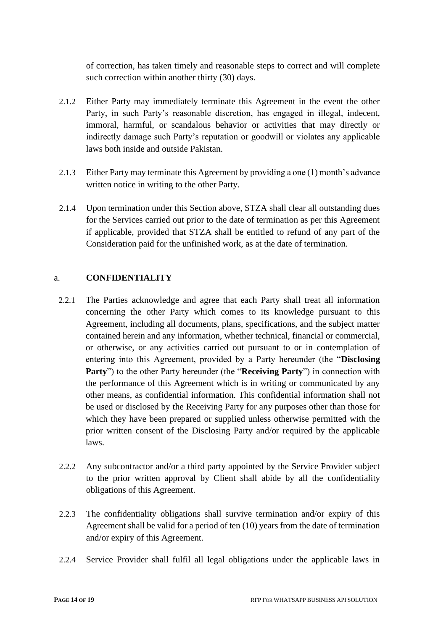of correction, has taken timely and reasonable steps to correct and will complete such correction within another thirty (30) days.

- 2.1.2 Either Party may immediately terminate this Agreement in the event the other Party, in such Party's reasonable discretion, has engaged in illegal, indecent, immoral, harmful, or scandalous behavior or activities that may directly or indirectly damage such Party's reputation or goodwill or violates any applicable laws both inside and outside Pakistan.
- 2.1.3 Either Party may terminate this Agreement by providing a one (1) month's advance written notice in writing to the other Party.
- 2.1.4 Upon termination under this Section above, STZA shall clear all outstanding dues for the Services carried out prior to the date of termination as per this Agreement if applicable, provided that STZA shall be entitled to refund of any part of the Consideration paid for the unfinished work, as at the date of termination.

#### a. **CONFIDENTIALITY**

- 2.2.1 The Parties acknowledge and agree that each Party shall treat all information concerning the other Party which comes to its knowledge pursuant to this Agreement, including all documents, plans, specifications, and the subject matter contained herein and any information, whether technical, financial or commercial, or otherwise, or any activities carried out pursuant to or in contemplation of entering into this Agreement, provided by a Party hereunder (the "**Disclosing Party**") to the other Party hereunder (the "**Receiving Party**") in connection with the performance of this Agreement which is in writing or communicated by any other means, as confidential information. This confidential information shall not be used or disclosed by the Receiving Party for any purposes other than those for which they have been prepared or supplied unless otherwise permitted with the prior written consent of the Disclosing Party and/or required by the applicable laws.
- 2.2.2 Any subcontractor and/or a third party appointed by the Service Provider subject to the prior written approval by Client shall abide by all the confidentiality obligations of this Agreement.
- 2.2.3 The confidentiality obligations shall survive termination and/or expiry of this Agreement shall be valid for a period of ten (10) years from the date of termination and/or expiry of this Agreement.
- 2.2.4 Service Provider shall fulfil all legal obligations under the applicable laws in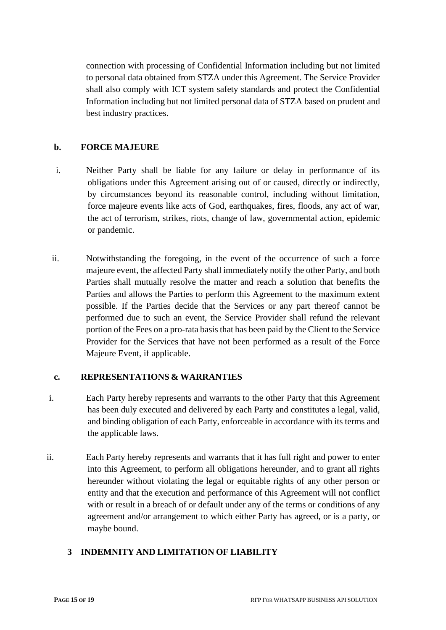connection with processing of Confidential Information including but not limited to personal data obtained from STZA under this Agreement. The Service Provider shall also comply with ICT system safety standards and protect the Confidential Information including but not limited personal data of STZA based on prudent and best industry practices.

## **b. FORCE MAJEURE**

- i. Neither Party shall be liable for any failure or delay in performance of its obligations under this Agreement arising out of or caused, directly or indirectly, by circumstances beyond its reasonable control, including without limitation, force majeure events like acts of God, earthquakes, fires, floods, any act of war, the act of terrorism, strikes, riots, change of law, governmental action, epidemic or pandemic.
- ii. Notwithstanding the foregoing, in the event of the occurrence of such a force majeure event, the affected Party shall immediately notify the other Party, and both Parties shall mutually resolve the matter and reach a solution that benefits the Parties and allows the Parties to perform this Agreement to the maximum extent possible. If the Parties decide that the Services or any part thereof cannot be performed due to such an event, the Service Provider shall refund the relevant portion of the Fees on a pro-rata basis that has been paid by the Client to the Service Provider for the Services that have not been performed as a result of the Force Majeure Event, if applicable.

## **c. REPRESENTATIONS & WARRANTIES**

- i. Each Party hereby represents and warrants to the other Party that this Agreement has been duly executed and delivered by each Party and constitutes a legal, valid, and binding obligation of each Party, enforceable in accordance with its terms and the applicable laws.
- ii. Each Party hereby represents and warrants that it has full right and power to enter into this Agreement, to perform all obligations hereunder, and to grant all rights hereunder without violating the legal or equitable rights of any other person or entity and that the execution and performance of this Agreement will not conflict with or result in a breach of or default under any of the terms or conditions of any agreement and/or arrangement to which either Party has agreed, or is a party, or maybe bound.

## **3 INDEMNITY AND LIMITATION OF LIABILITY**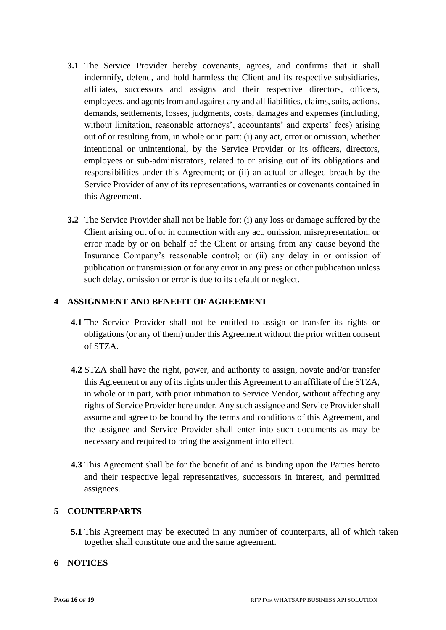- **3.1** The Service Provider hereby covenants, agrees, and confirms that it shall indemnify, defend, and hold harmless the Client and its respective subsidiaries, affiliates, successors and assigns and their respective directors, officers, employees, and agents from and against any and all liabilities, claims, suits, actions, demands, settlements, losses, judgments, costs, damages and expenses (including, without limitation, reasonable attorneys', accountants' and experts' fees) arising out of or resulting from, in whole or in part: (i) any act, error or omission, whether intentional or unintentional, by the Service Provider or its officers, directors, employees or sub-administrators, related to or arising out of its obligations and responsibilities under this Agreement; or (ii) an actual or alleged breach by the Service Provider of any of its representations, warranties or covenants contained in this Agreement.
- **3.2** The Service Provider shall not be liable for: (i) any loss or damage suffered by the Client arising out of or in connection with any act, omission, misrepresentation, or error made by or on behalf of the Client or arising from any cause beyond the Insurance Company's reasonable control; or (ii) any delay in or omission of publication or transmission or for any error in any press or other publication unless such delay, omission or error is due to its default or neglect.

#### **4 ASSIGNMENT AND BENEFIT OF AGREEMENT**

- **4.1** The Service Provider shall not be entitled to assign or transfer its rights or obligations (or any of them) under this Agreement without the prior written consent of STZA.
- **4.2** STZA shall have the right, power, and authority to assign, novate and/or transfer this Agreement or any of its rights under this Agreement to an affiliate of the STZA, in whole or in part, with prior intimation to Service Vendor, without affecting any rights of Service Provider here under. Any such assignee and Service Provider shall assume and agree to be bound by the terms and conditions of this Agreement, and the assignee and Service Provider shall enter into such documents as may be necessary and required to bring the assignment into effect.
- **4.3** This Agreement shall be for the benefit of and is binding upon the Parties hereto and their respective legal representatives, successors in interest, and permitted assignees.

#### **5 COUNTERPARTS**

**5.1** This Agreement may be executed in any number of counterparts, all of which taken together shall constitute one and the same agreement.

## **6 NOTICES**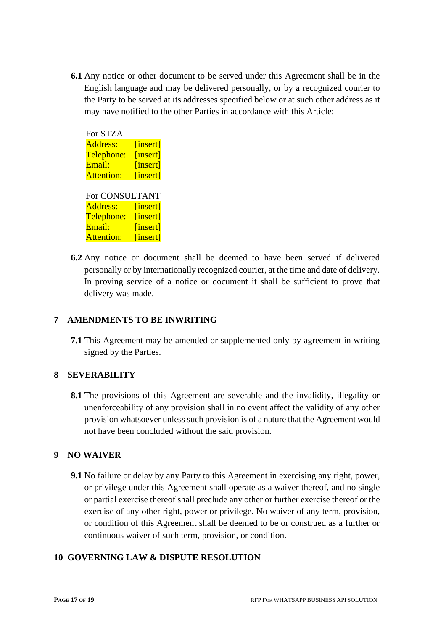**6.1** Any notice or other document to be served under this Agreement shall be in the English language and may be delivered personally, or by a recognized courier to the Party to be served at its addresses specified below or at such other address as it may have notified to the other Parties in accordance with this Article:

| For STZA          |          |  |  |  |
|-------------------|----------|--|--|--|
| Address:          | [insert] |  |  |  |
| Telephone:        | [insert] |  |  |  |
| Email:            | [insert] |  |  |  |
| <b>Attention:</b> | [insert] |  |  |  |
| For CONSULTANT    |          |  |  |  |
| Address:          | [insert] |  |  |  |
| Telephone:        | [insert] |  |  |  |
| Email:            | [insert] |  |  |  |
| <b>Attention:</b> | [insert] |  |  |  |

**6.2** Any notice or document shall be deemed to have been served if delivered personally or by internationally recognized courier, at the time and date of delivery. In proving service of a notice or document it shall be sufficient to prove that delivery was made.

## **7 AMENDMENTS TO BE INWRITING**

**7.1** This Agreement may be amended or supplemented only by agreement in writing signed by the Parties.

#### **8 SEVERABILITY**

**8.1** The provisions of this Agreement are severable and the invalidity, illegality or unenforceability of any provision shall in no event affect the validity of any other provision whatsoever unless such provision is of a nature that the Agreement would not have been concluded without the said provision.

## **9 NO WAIVER**

**9.1** No failure or delay by any Party to this Agreement in exercising any right, power, or privilege under this Agreement shall operate as a waiver thereof, and no single or partial exercise thereof shall preclude any other or further exercise thereof or the exercise of any other right, power or privilege. No waiver of any term, provision, or condition of this Agreement shall be deemed to be or construed as a further or continuous waiver of such term, provision, or condition.

#### **10 GOVERNING LAW & DISPUTE RESOLUTION**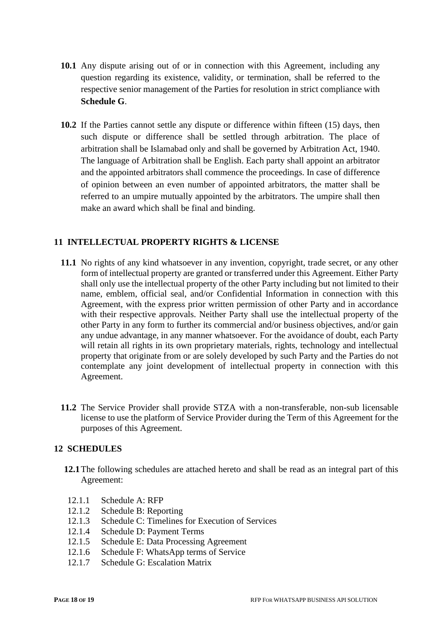- **10.1** Any dispute arising out of or in connection with this Agreement, including any question regarding its existence, validity, or termination, shall be referred to the respective senior management of the Parties for resolution in strict compliance with **Schedule G**.
- **10.2** If the Parties cannot settle any dispute or difference within fifteen (15) days, then such dispute or difference shall be settled through arbitration. The place of arbitration shall be Islamabad only and shall be governed by Arbitration Act, 1940. The language of Arbitration shall be English. Each party shall appoint an arbitrator and the appointed arbitrators shall commence the proceedings. In case of difference of opinion between an even number of appointed arbitrators, the matter shall be referred to an umpire mutually appointed by the arbitrators. The umpire shall then make an award which shall be final and binding.

## **11 INTELLECTUAL PROPERTY RIGHTS & LICENSE**

- **11.1** No rights of any kind whatsoever in any invention, copyright, trade secret, or any other form of intellectual property are granted or transferred under this Agreement. Either Party shall only use the intellectual property of the other Party including but not limited to their name, emblem, official seal, and/or Confidential Information in connection with this Agreement, with the express prior written permission of other Party and in accordance with their respective approvals. Neither Party shall use the intellectual property of the other Party in any form to further its commercial and/or business objectives, and/or gain any undue advantage, in any manner whatsoever. For the avoidance of doubt, each Party will retain all rights in its own proprietary materials, rights, technology and intellectual property that originate from or are solely developed by such Party and the Parties do not contemplate any joint development of intellectual property in connection with this Agreement.
- **11.2** The Service Provider shall provide STZA with a non-transferable, non-sub licensable license to use the platform of Service Provider during the Term of this Agreement for the purposes of this Agreement.

#### **12 SCHEDULES**

- **12.1**The following schedules are attached hereto and shall be read as an integral part of this Agreement:
- 12.1.1 Schedule A: RFP
- 12.1.2 Schedule B: Reporting
- 12.1.3 Schedule C: Timelines for Execution of Services
- 12.1.4 Schedule D: Payment Terms
- 12.1.5 Schedule E: Data Processing Agreement
- 12.1.6 Schedule F: WhatsApp terms of Service
- 12.1.7 Schedule G: Escalation Matrix